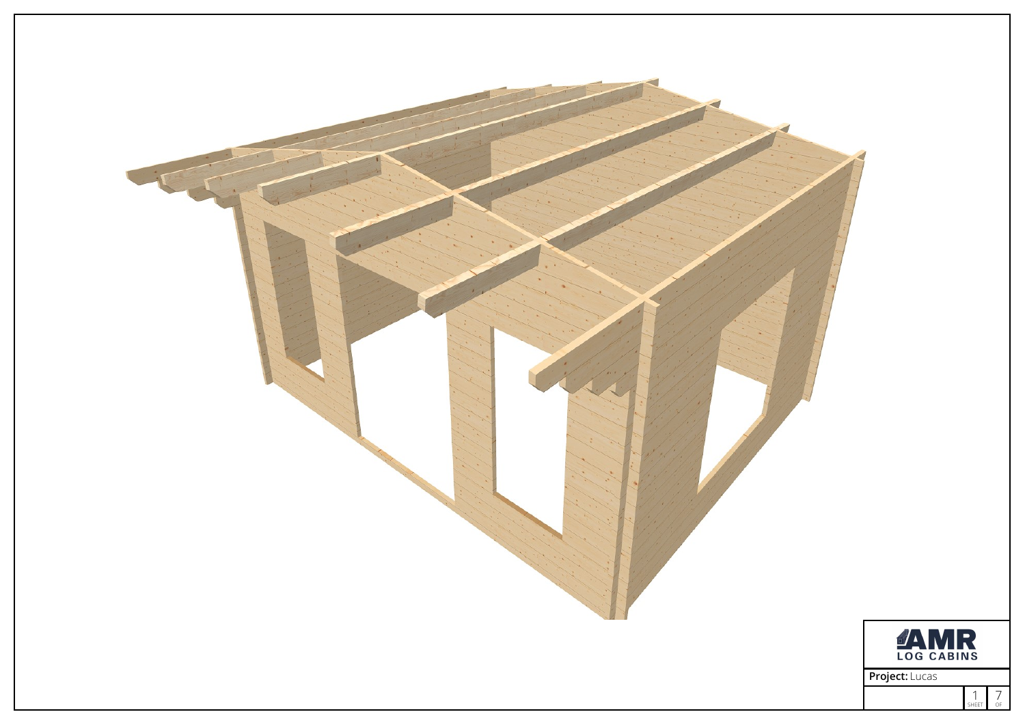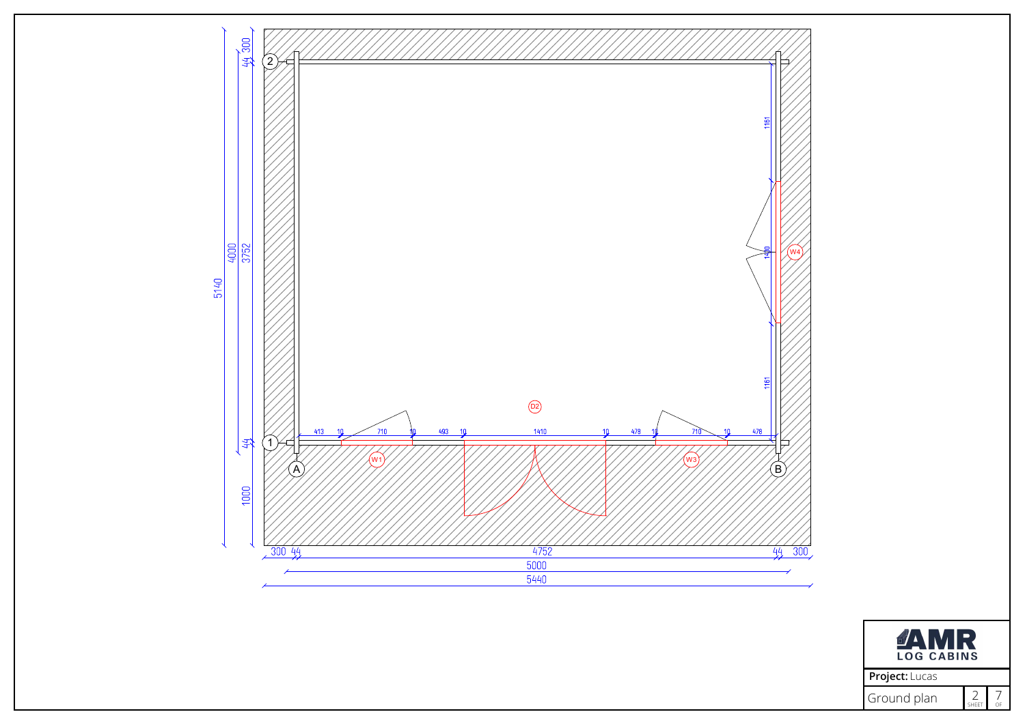

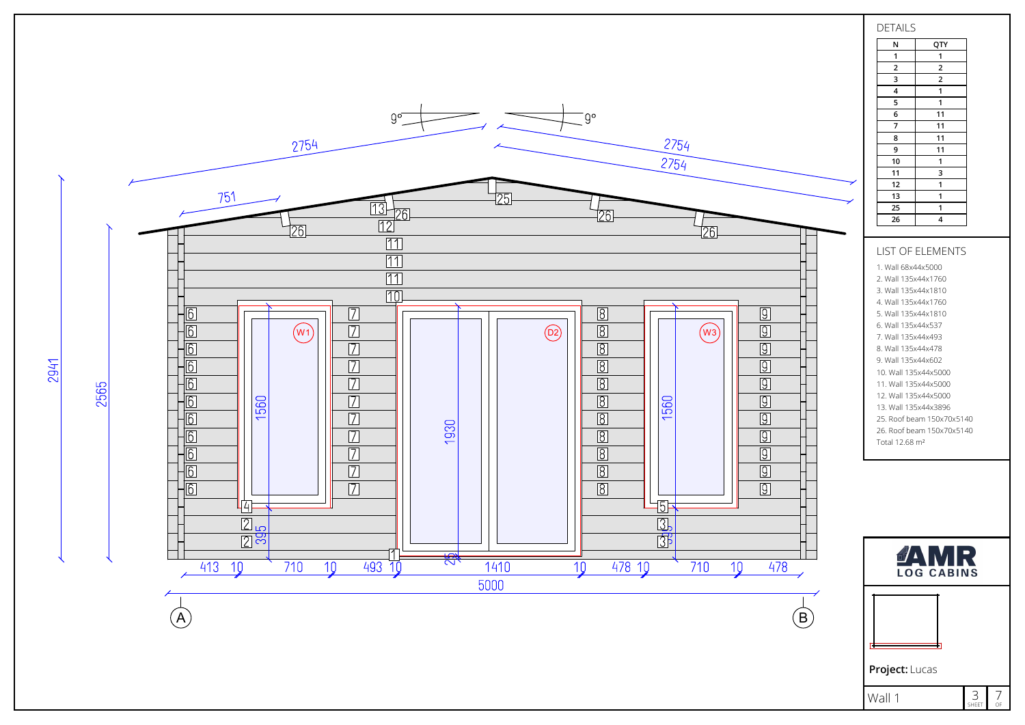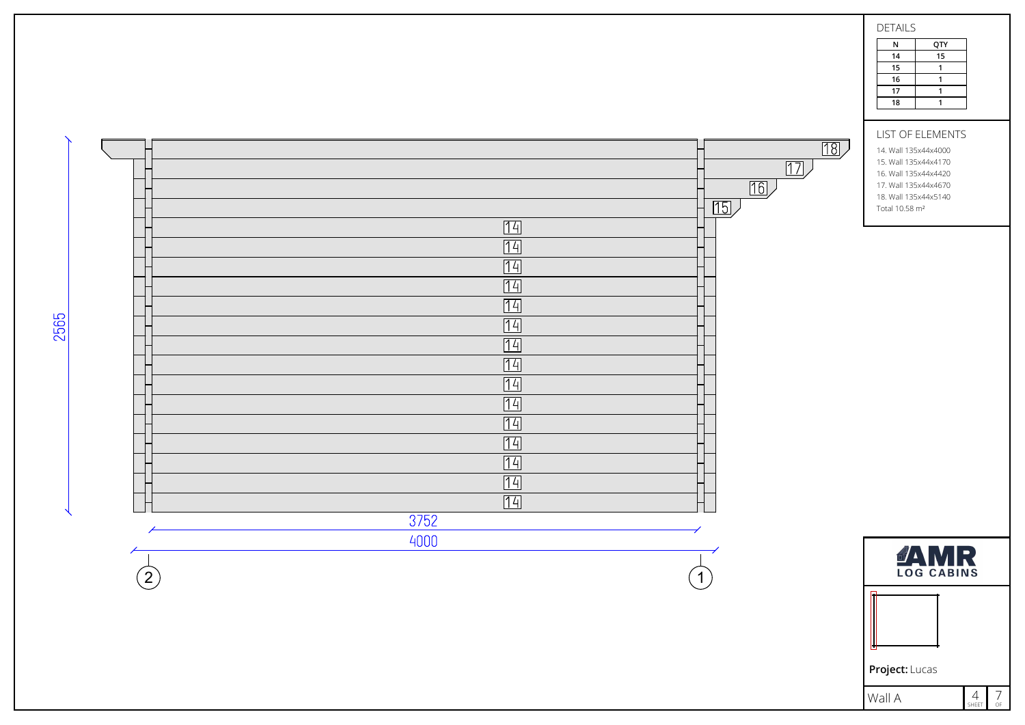|                                   | $\boxed{18}$<br>$\boxed{17}$<br>$\boxed{16}$<br>$\overline{15}$<br>14<br>14<br>14<br>14<br>14<br>14<br>14<br>14<br>14<br>14<br>[14]<br>14<br>14<br>14<br>14<br>3752 | <b>DETAILS</b><br>${\sf N}$<br>QTY<br>15<br>14<br>15<br>$\mathbf{1}$<br>16<br>$\mathbf{1}$<br>17<br>$\mathbf{1}$<br>$\overline{1}$<br>18<br>LIST OF ELEMENTS<br>14. Wall 135x44x4000<br>15. Wall 135x44x4170<br>16. Wall 135x44x4420<br>17. Wall 135x44x4670<br>18. Wall 135x44x5140<br>Total 10.58 m <sup>2</sup> |
|-----------------------------------|---------------------------------------------------------------------------------------------------------------------------------------------------------------------|--------------------------------------------------------------------------------------------------------------------------------------------------------------------------------------------------------------------------------------------------------------------------------------------------------------------|
| $\Large{\textcircled{\small{2}}}$ | 4000<br>$\left(1\right)$                                                                                                                                            | <b>TAMR</b>                                                                                                                                                                                                                                                                                                        |
|                                   |                                                                                                                                                                     |                                                                                                                                                                                                                                                                                                                    |

Project: Lucas

Wall A

2565

 $4$ <br>Sheet  $7/$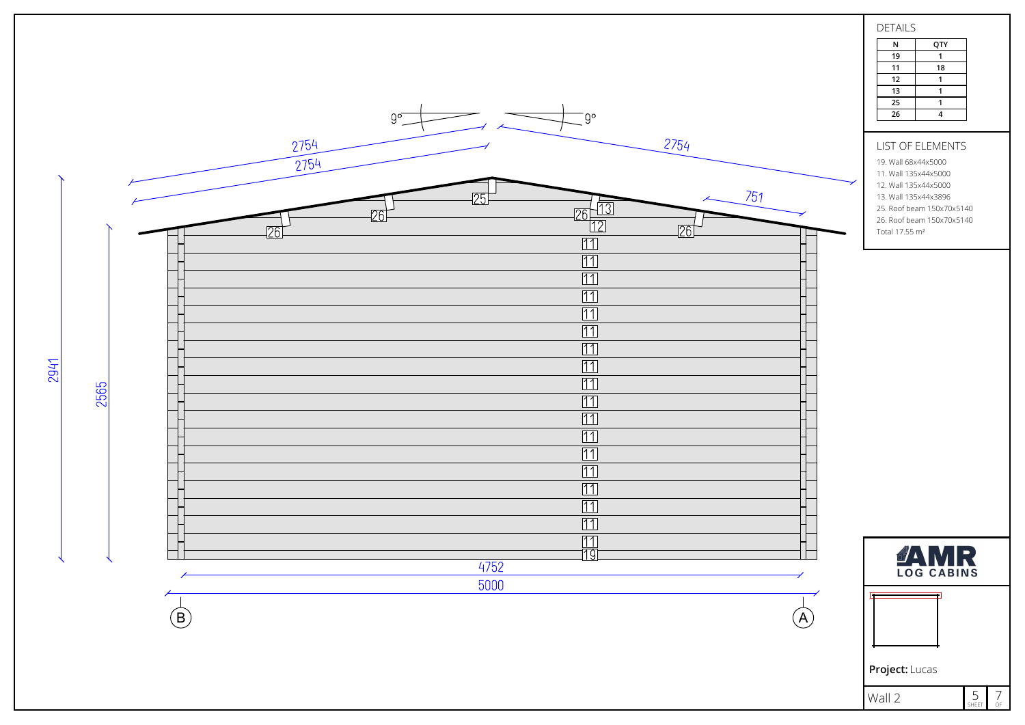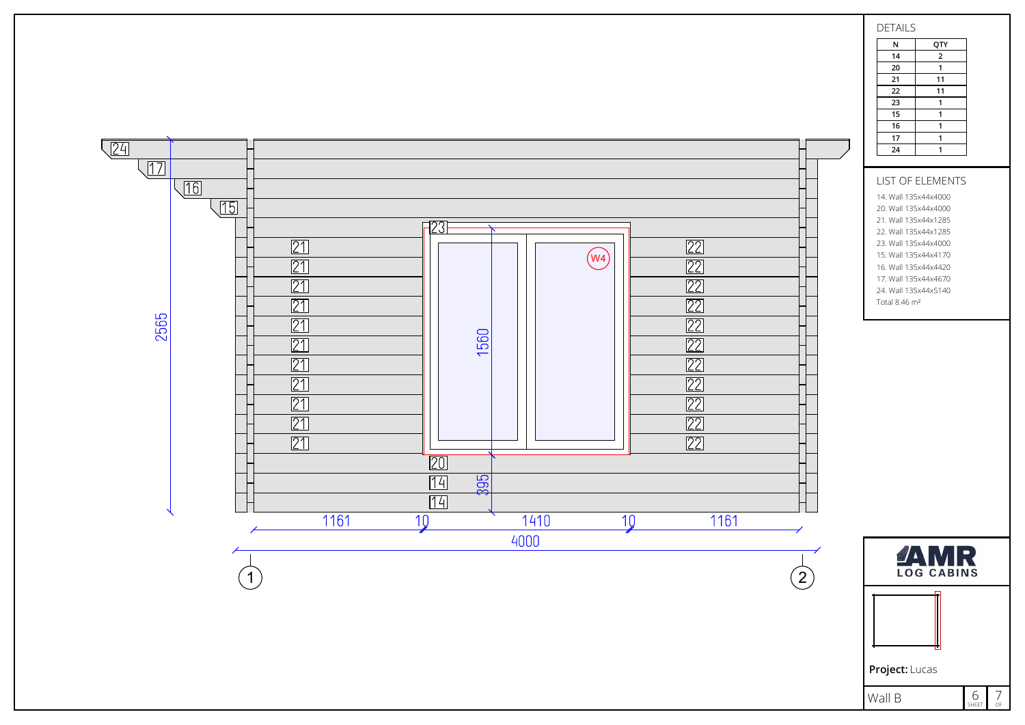